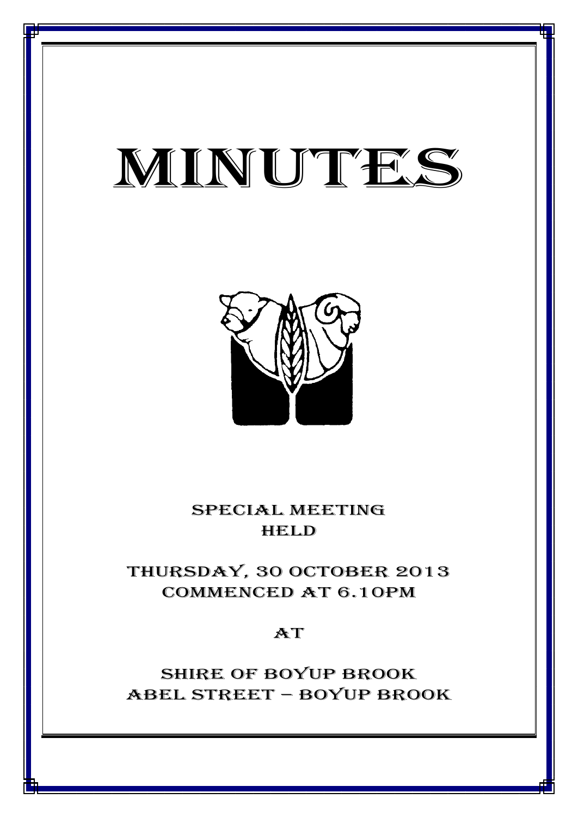# MINUTES

*MINUTES OF THE SPECIAL MEETING OF COUNCIL HELD ON 30 October 2013*



SPECIAL MEETING **HELD** 

thursday, 30 October 2013 Commenced at 6.10PM

 $AT$ 

Shire of boyup brook ABEL STREET – BOYUP BROOK

1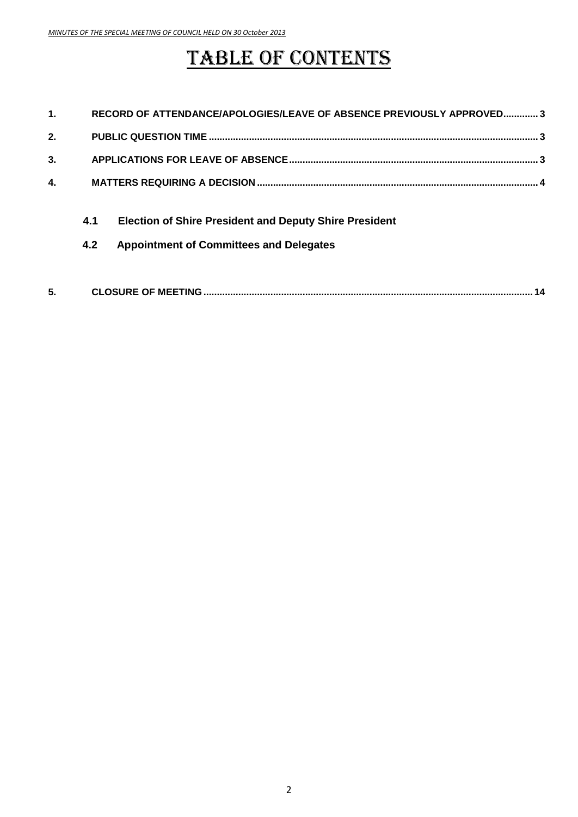## TABLE OF CONTENTS

| $\mathbf 1$  | RECORD OF ATTENDANCE/APOLOGIES/LEAVE OF ABSENCE PREVIOUSLY APPROVED3 |                                                               |
|--------------|----------------------------------------------------------------------|---------------------------------------------------------------|
| 2.           |                                                                      |                                                               |
| 3.           |                                                                      |                                                               |
| $\mathbf{4}$ |                                                                      |                                                               |
|              | 4.1                                                                  | <b>Election of Shire President and Deputy Shire President</b> |
|              | 4.2                                                                  | <b>Appointment of Committees and Delegates</b>                |
|              |                                                                      |                                                               |
| 5.           |                                                                      |                                                               |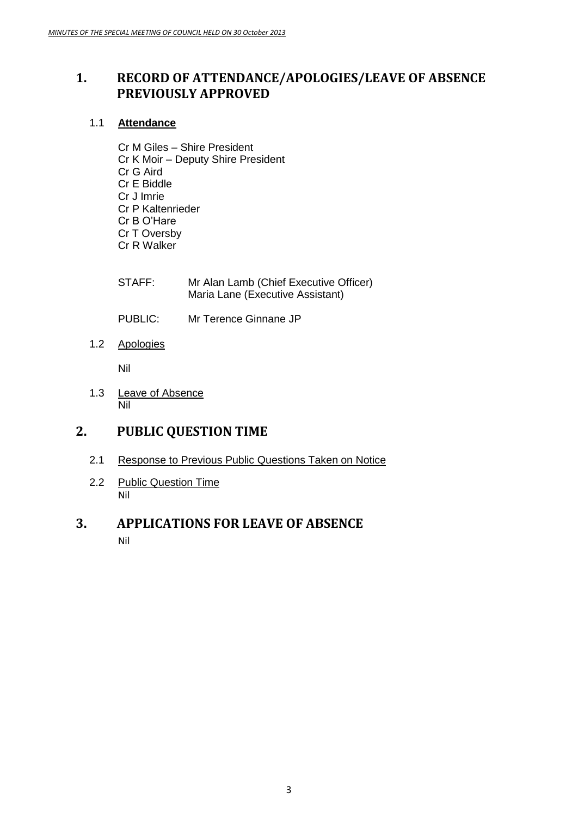## <span id="page-2-0"></span>**1. RECORD OF ATTENDANCE/APOLOGIES/LEAVE OF ABSENCE PREVIOUSLY APPROVED**

## 1.1 **Attendance**

- Cr M Giles Shire President Cr K Moir – Deputy Shire President Cr G Aird Cr E Biddle Cr J Imrie Cr P Kaltenrieder Cr B O'Hare Cr T Oversby Cr R Walker
- STAFF: Mr Alan Lamb (Chief Executive Officer) Maria Lane (Executive Assistant)
- PUBLIC: Mr Terence Ginnane JP
- 1.2 Apologies

Nil

1.3 Leave of Absence Nil

## <span id="page-2-1"></span>**2. PUBLIC QUESTION TIME**

- 2.1 Response to Previous Public Questions Taken on Notice
- 2.2 Public Question Time Nil

## <span id="page-2-2"></span>**3. APPLICATIONS FOR LEAVE OF ABSENCE** Nil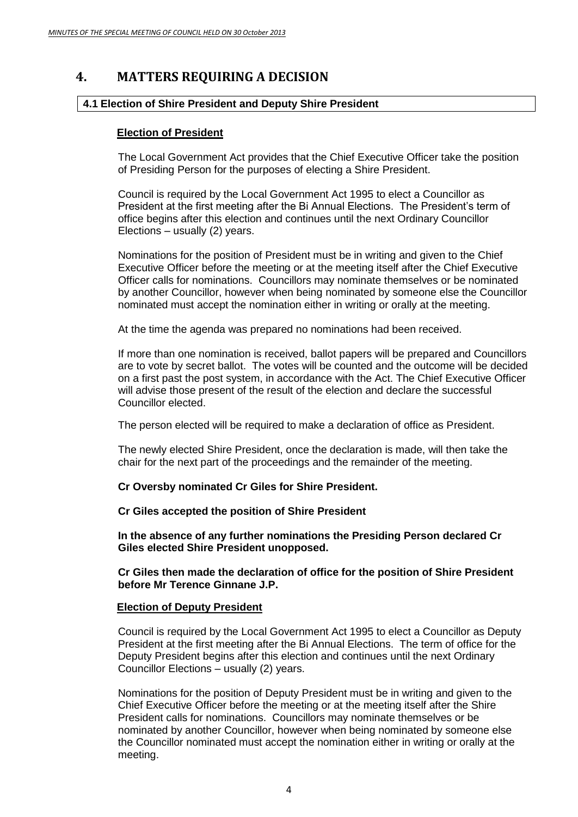## <span id="page-3-0"></span>**4. MATTERS REQUIRING A DECISION**

#### **4.1 Election of Shire President and Deputy Shire President**

#### **Election of President**

The Local Government Act provides that the Chief Executive Officer take the position of Presiding Person for the purposes of electing a Shire President.

Council is required by the Local Government Act 1995 to elect a Councillor as President at the first meeting after the Bi Annual Elections. The President's term of office begins after this election and continues until the next Ordinary Councillor Elections – usually (2) years.

Nominations for the position of President must be in writing and given to the Chief Executive Officer before the meeting or at the meeting itself after the Chief Executive Officer calls for nominations. Councillors may nominate themselves or be nominated by another Councillor, however when being nominated by someone else the Councillor nominated must accept the nomination either in writing or orally at the meeting.

At the time the agenda was prepared no nominations had been received.

If more than one nomination is received, ballot papers will be prepared and Councillors are to vote by secret ballot. The votes will be counted and the outcome will be decided on a first past the post system, in accordance with the Act. The Chief Executive Officer will advise those present of the result of the election and declare the successful Councillor elected.

The person elected will be required to make a declaration of office as President.

The newly elected Shire President, once the declaration is made, will then take the chair for the next part of the proceedings and the remainder of the meeting.

**Cr Oversby nominated Cr Giles for Shire President.**

**Cr Giles accepted the position of Shire President**

**In the absence of any further nominations the Presiding Person declared Cr Giles elected Shire President unopposed.**

**Cr Giles then made the declaration of office for the position of Shire President before Mr Terence Ginnane J.P.**

#### **Election of Deputy President**

Council is required by the Local Government Act 1995 to elect a Councillor as Deputy President at the first meeting after the Bi Annual Elections. The term of office for the Deputy President begins after this election and continues until the next Ordinary Councillor Elections – usually (2) years.

Nominations for the position of Deputy President must be in writing and given to the Chief Executive Officer before the meeting or at the meeting itself after the Shire President calls for nominations. Councillors may nominate themselves or be nominated by another Councillor, however when being nominated by someone else the Councillor nominated must accept the nomination either in writing or orally at the meeting.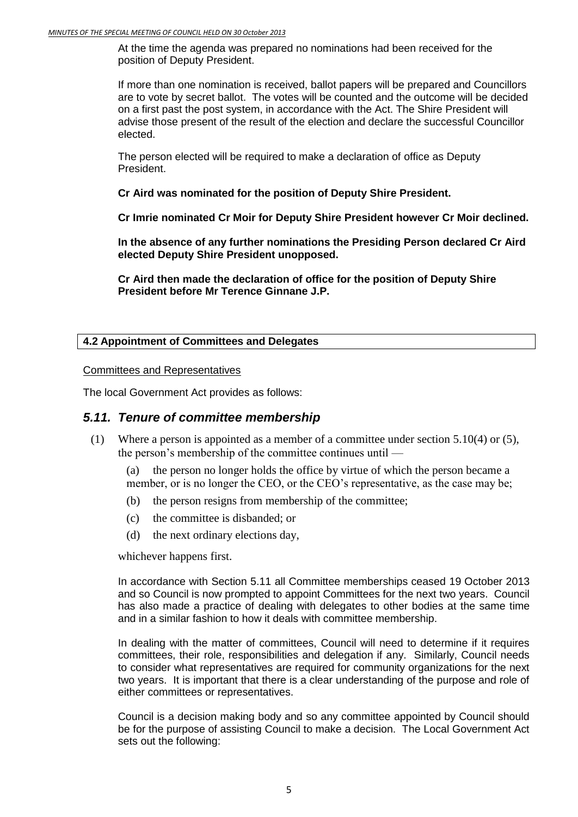At the time the agenda was prepared no nominations had been received for the position of Deputy President.

If more than one nomination is received, ballot papers will be prepared and Councillors are to vote by secret ballot. The votes will be counted and the outcome will be decided on a first past the post system, in accordance with the Act. The Shire President will advise those present of the result of the election and declare the successful Councillor elected.

The person elected will be required to make a declaration of office as Deputy President.

**Cr Aird was nominated for the position of Deputy Shire President.**

**Cr Imrie nominated Cr Moir for Deputy Shire President however Cr Moir declined.**

**In the absence of any further nominations the Presiding Person declared Cr Aird elected Deputy Shire President unopposed.**

**Cr Aird then made the declaration of office for the position of Deputy Shire President before Mr Terence Ginnane J.P.**

### **4.2 Appointment of Committees and Delegates**

#### Committees and Representatives

The local Government Act provides as follows:

## *5.11. Tenure of committee membership*

- (1) Where a person is appointed as a member of a committee under section 5.10(4) or (5), the person's membership of the committee continues until —
	- (a) the person no longer holds the office by virtue of which the person became a member, or is no longer the CEO, or the CEO's representative, as the case may be;
	- (b) the person resigns from membership of the committee;
	- (c) the committee is disbanded; or
	- (d) the next ordinary elections day,

whichever happens first.

In accordance with Section 5.11 all Committee memberships ceased 19 October 2013 and so Council is now prompted to appoint Committees for the next two years. Council has also made a practice of dealing with delegates to other bodies at the same time and in a similar fashion to how it deals with committee membership.

In dealing with the matter of committees, Council will need to determine if it requires committees, their role, responsibilities and delegation if any. Similarly, Council needs to consider what representatives are required for community organizations for the next two years. It is important that there is a clear understanding of the purpose and role of either committees or representatives.

Council is a decision making body and so any committee appointed by Council should be for the purpose of assisting Council to make a decision. The Local Government Act sets out the following: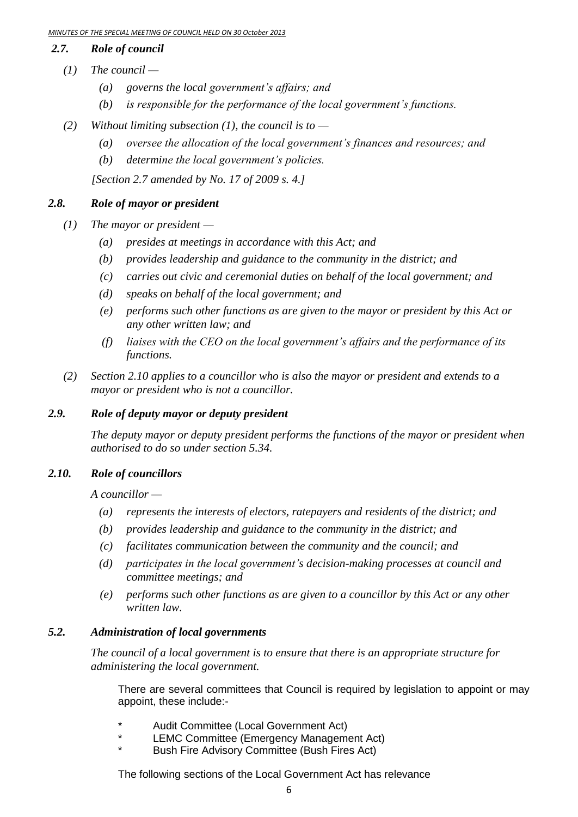#### *2.7. Role of council*

- *(1) The council —*
	- *(a) governs the local government's affairs; and*
	- *(b) is responsible for the performance of the local government's functions.*
- *(2) Without limiting subsection (1), the council is to —*
	- *(a) oversee the allocation of the local government's finances and resources; and*
	- *(b) determine the local government's policies.*

*[Section 2.7 amended by No. 17 of 2009 s. 4.]*

## *2.8. Role of mayor or president*

- *(1) The mayor or president —*
	- *(a) presides at meetings in accordance with this Act; and*
	- *(b) provides leadership and guidance to the community in the district; and*
	- *(c) carries out civic and ceremonial duties on behalf of the local government; and*
	- *(d) speaks on behalf of the local government; and*
	- *(e) performs such other functions as are given to the mayor or president by this Act or any other written law; and*
	- *(f) liaises with the CEO on the local government's affairs and the performance of its functions.*
- *(2) Section 2.10 applies to a councillor who is also the mayor or president and extends to a mayor or president who is not a councillor.*

## *2.9. Role of deputy mayor or deputy president*

*The deputy mayor or deputy president performs the functions of the mayor or president when authorised to do so under section 5.34.*

### *2.10. Role of councillors*

*A councillor —*

- *(a) represents the interests of electors, ratepayers and residents of the district; and*
- *(b) provides leadership and guidance to the community in the district; and*
- *(c) facilitates communication between the community and the council; and*
- *(d) participates in the local government's decision-making processes at council and committee meetings; and*
- *(e) performs such other functions as are given to a councillor by this Act or any other written law.*

## *5.2. Administration of local governments*

*The council of a local government is to ensure that there is an appropriate structure for administering the local government.*

There are several committees that Council is required by legislation to appoint or may appoint, these include:-

- \* Audit Committee (Local Government Act)
- LEMC Committee (Emergency Management Act)
- Bush Fire Advisory Committee (Bush Fires Act)

The following sections of the Local Government Act has relevance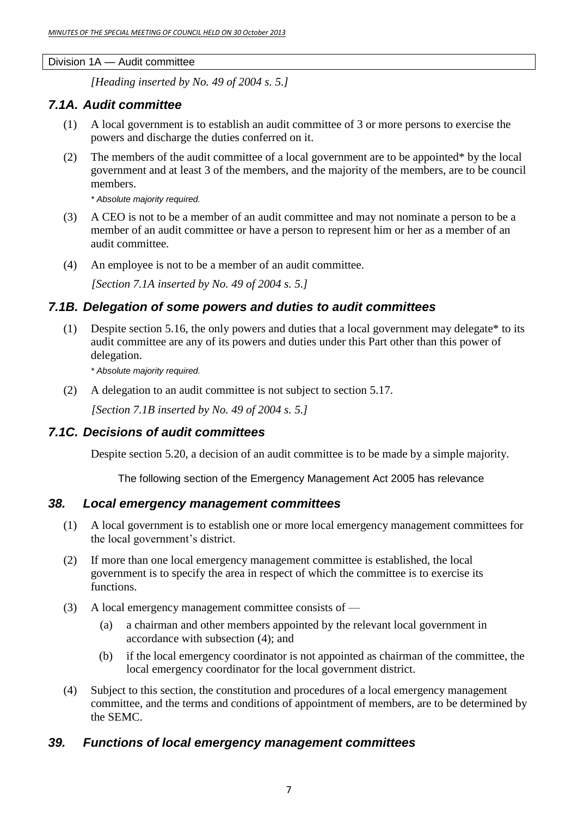Division 1A — Audit committee

*[Heading inserted by No. 49 of 2004 s. 5.]*

## *7.1A. Audit committee*

- (1) A local government is to establish an audit committee of 3 or more persons to exercise the powers and discharge the duties conferred on it.
- (2) The members of the audit committee of a local government are to be appointed\* by the local government and at least 3 of the members, and the majority of the members, are to be council members.

*\* Absolute majority required.*

- (3) A CEO is not to be a member of an audit committee and may not nominate a person to be a member of an audit committee or have a person to represent him or her as a member of an audit committee.
- (4) An employee is not to be a member of an audit committee.

*[Section 7.1A inserted by No. 49 of 2004 s. 5.]*

## *7.1B. Delegation of some powers and duties to audit committees*

(1) Despite section 5.16, the only powers and duties that a local government may delegate\* to its audit committee are any of its powers and duties under this Part other than this power of delegation.

*\* Absolute majority required.*

(2) A delegation to an audit committee is not subject to section 5.17.

*[Section 7.1B inserted by No. 49 of 2004 s. 5.]*

## *7.1C. Decisions of audit committees*

Despite section 5.20, a decision of an audit committee is to be made by a simple majority.

The following section of the Emergency Management Act 2005 has relevance

## *38. Local emergency management committees*

- (1) A local government is to establish one or more local emergency management committees for the local government's district.
- (2) If more than one local emergency management committee is established, the local government is to specify the area in respect of which the committee is to exercise its functions.
- (3) A local emergency management committee consists of
	- (a) a chairman and other members appointed by the relevant local government in accordance with subsection (4); and
	- (b) if the local emergency coordinator is not appointed as chairman of the committee, the local emergency coordinator for the local government district.
- (4) Subject to this section, the constitution and procedures of a local emergency management committee, and the terms and conditions of appointment of members, are to be determined by the SEMC.

## *39. Functions of local emergency management committees*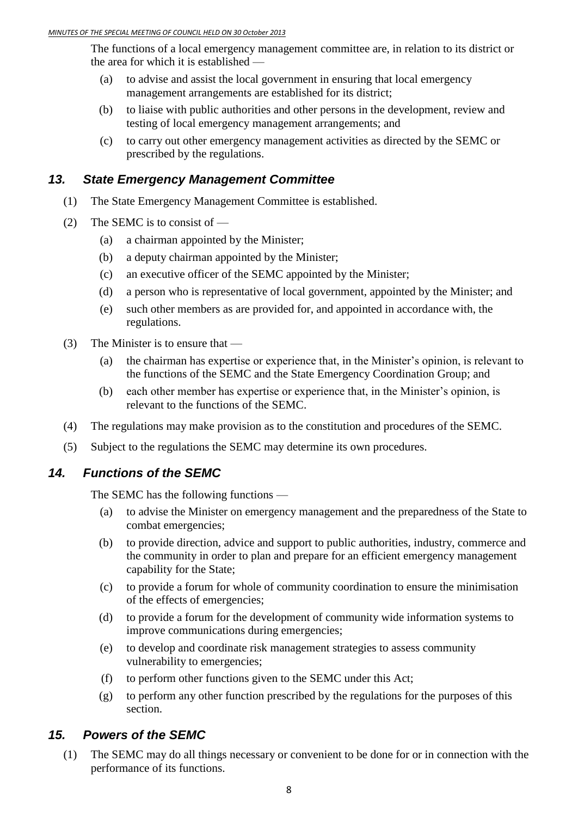The functions of a local emergency management committee are, in relation to its district or the area for which it is established —

- (a) to advise and assist the local government in ensuring that local emergency management arrangements are established for its district;
- (b) to liaise with public authorities and other persons in the development, review and testing of local emergency management arrangements; and
- (c) to carry out other emergency management activities as directed by the SEMC or prescribed by the regulations.

## *13. State Emergency Management Committee*

- (1) The State Emergency Management Committee is established.
- (2) The SEMC is to consist of  $-$ 
	- (a) a chairman appointed by the Minister;
	- (b) a deputy chairman appointed by the Minister;
	- (c) an executive officer of the SEMC appointed by the Minister;
	- (d) a person who is representative of local government, appointed by the Minister; and
	- (e) such other members as are provided for, and appointed in accordance with, the regulations.
- (3) The Minister is to ensure that
	- (a) the chairman has expertise or experience that, in the Minister's opinion, is relevant to the functions of the SEMC and the State Emergency Coordination Group; and
	- (b) each other member has expertise or experience that, in the Minister's opinion, is relevant to the functions of the SEMC.
- (4) The regulations may make provision as to the constitution and procedures of the SEMC.
- (5) Subject to the regulations the SEMC may determine its own procedures.

## *14. Functions of the SEMC*

The SEMC has the following functions —

- (a) to advise the Minister on emergency management and the preparedness of the State to combat emergencies;
- (b) to provide direction, advice and support to public authorities, industry, commerce and the community in order to plan and prepare for an efficient emergency management capability for the State;
- (c) to provide a forum for whole of community coordination to ensure the minimisation of the effects of emergencies;
- (d) to provide a forum for the development of community wide information systems to improve communications during emergencies;
- (e) to develop and coordinate risk management strategies to assess community vulnerability to emergencies;
- (f) to perform other functions given to the SEMC under this Act;
- (g) to perform any other function prescribed by the regulations for the purposes of this section.

## *15. Powers of the SEMC*

(1) The SEMC may do all things necessary or convenient to be done for or in connection with the performance of its functions.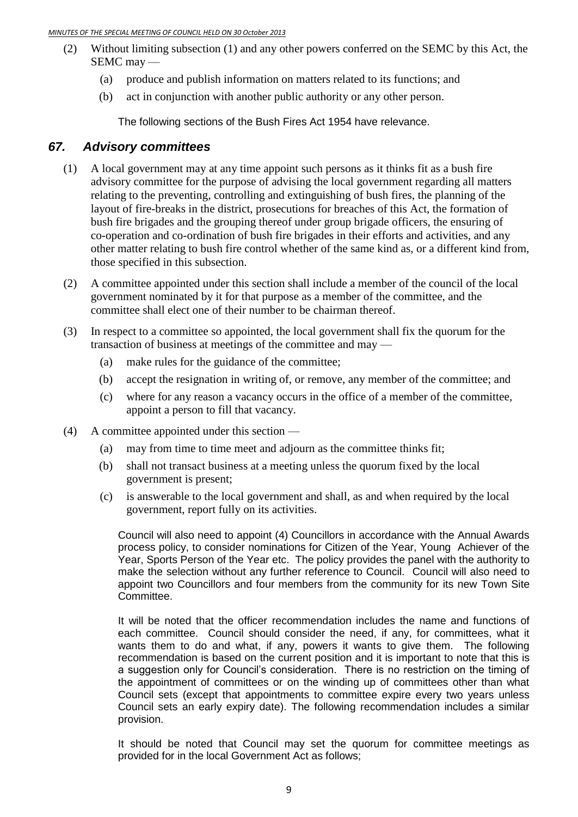- (2) Without limiting subsection (1) and any other powers conferred on the SEMC by this Act, the SEMC may —
	- (a) produce and publish information on matters related to its functions; and
	- (b) act in conjunction with another public authority or any other person.

The following sections of the Bush Fires Act 1954 have relevance.

## *67. Advisory committees*

- (1) A local government may at any time appoint such persons as it thinks fit as a bush fire advisory committee for the purpose of advising the local government regarding all matters relating to the preventing, controlling and extinguishing of bush fires, the planning of the layout of fire-breaks in the district, prosecutions for breaches of this Act, the formation of bush fire brigades and the grouping thereof under group brigade officers, the ensuring of co-operation and co-ordination of bush fire brigades in their efforts and activities, and any other matter relating to bush fire control whether of the same kind as, or a different kind from, those specified in this subsection.
- (2) A committee appointed under this section shall include a member of the council of the local government nominated by it for that purpose as a member of the committee, and the committee shall elect one of their number to be chairman thereof.
- (3) In respect to a committee so appointed, the local government shall fix the quorum for the transaction of business at meetings of the committee and may —
	- (a) make rules for the guidance of the committee;
	- (b) accept the resignation in writing of, or remove, any member of the committee; and
	- (c) where for any reason a vacancy occurs in the office of a member of the committee, appoint a person to fill that vacancy.
- (4) A committee appointed under this section
	- (a) may from time to time meet and adjourn as the committee thinks fit;
	- (b) shall not transact business at a meeting unless the quorum fixed by the local government is present;
	- (c) is answerable to the local government and shall, as and when required by the local government, report fully on its activities.

Council will also need to appoint (4) Councillors in accordance with the Annual Awards process policy, to consider nominations for Citizen of the Year, Young Achiever of the Year, Sports Person of the Year etc. The policy provides the panel with the authority to make the selection without any further reference to Council. Council will also need to appoint two Councillors and four members from the community for its new Town Site Committee.

It will be noted that the officer recommendation includes the name and functions of each committee. Council should consider the need, if any, for committees, what it wants them to do and what, if any, powers it wants to give them. The following recommendation is based on the current position and it is important to note that this is a suggestion only for Council's consideration. There is no restriction on the timing of the appointment of committees or on the winding up of committees other than what Council sets (except that appointments to committee expire every two years unless Council sets an early expiry date). The following recommendation includes a similar provision.

It should be noted that Council may set the quorum for committee meetings as provided for in the local Government Act as follows;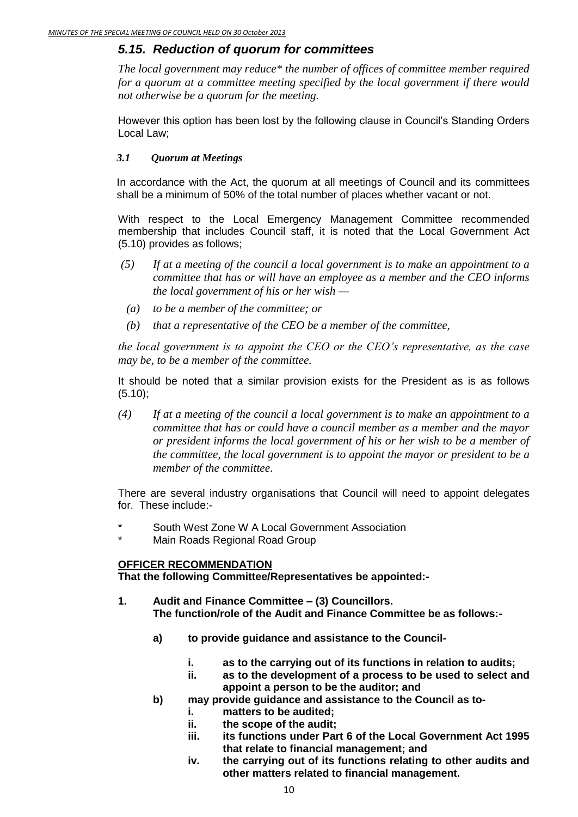## *5.15. Reduction of quorum for committees*

*The local government may reduce\* the number of offices of committee member required for a quorum at a committee meeting specified by the local government if there would not otherwise be a quorum for the meeting.*

However this option has been lost by the following clause in Council's Standing Orders Local Law;

#### *3.1 Quorum at Meetings*

In accordance with the Act, the quorum at all meetings of Council and its committees shall be a minimum of 50% of the total number of places whether vacant or not.

With respect to the Local Emergency Management Committee recommended membership that includes Council staff, it is noted that the Local Government Act (5.10) provides as follows;

- *(5) If at a meeting of the council a local government is to make an appointment to a committee that has or will have an employee as a member and the CEO informs the local government of his or her wish —*
	- *(a) to be a member of the committee; or*
	- *(b) that a representative of the CEO be a member of the committee,*

*the local government is to appoint the CEO or the CEO's representative, as the case may be, to be a member of the committee.*

It should be noted that a similar provision exists for the President as is as follows (5.10);

*(4) If at a meeting of the council a local government is to make an appointment to a committee that has or could have a council member as a member and the mayor or president informs the local government of his or her wish to be a member of the committee, the local government is to appoint the mayor or president to be a member of the committee.* 

There are several industry organisations that Council will need to appoint delegates for. These include:-

- South West Zone W A Local Government Association
- Main Roads Regional Road Group

#### **OFFICER RECOMMENDATION**

**That the following Committee/Representatives be appointed:-**

- **1. Audit and Finance Committee – (3) Councillors. The function/role of the Audit and Finance Committee be as follows:**
	- **a) to provide guidance and assistance to the Council**
		- **i. as to the carrying out of its functions in relation to audits;**
		- **ii. as to the development of a process to be used to select and appoint a person to be the auditor; and**
	- **b) may provide guidance and assistance to the Council as to**
		- **i. matters to be audited;**
		- **ii. the scope of the audit;**
		- **iii. its functions under Part 6 of the Local Government Act 1995 that relate to financial management; and**
		- **iv. the carrying out of its functions relating to other audits and other matters related to financial management.**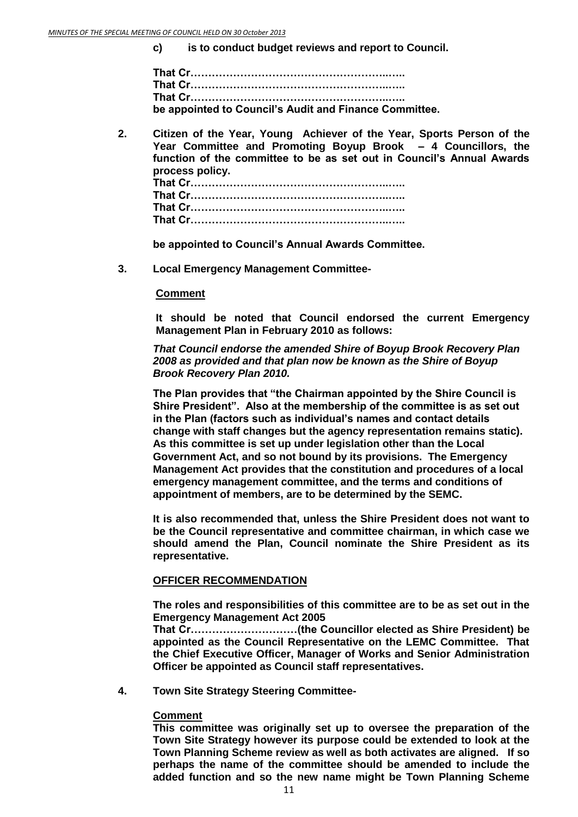**c) is to conduct budget reviews and report to Council.**

| be appointed to Council's Audit and Finance Committee. |
|--------------------------------------------------------|

**2. Citizen of the Year, Young Achiever of the Year, Sports Person of the Year Committee and Promoting Boyup Brook – 4 Councillors, the function of the committee to be as set out in Council's Annual Awards process policy. That Cr………………………………………………..….. That Cr………………………………………………..….. That Cr………………………………………………..….. That Cr………………………………………………..…..**

**be appointed to Council's Annual Awards Committee.**

**3. Local Emergency Management Committee-**

#### **Comment**

**It should be noted that Council endorsed the current Emergency Management Plan in February 2010 as follows:**

*That Council endorse the amended Shire of Boyup Brook Recovery Plan 2008 as provided and that plan now be known as the Shire of Boyup Brook Recovery Plan 2010.*

**The Plan provides that "the Chairman appointed by the Shire Council is Shire President". Also at the membership of the committee is as set out in the Plan (factors such as individual's names and contact details change with staff changes but the agency representation remains static). As this committee is set up under legislation other than the Local Government Act, and so not bound by its provisions. The Emergency Management Act provides that the constitution and procedures of a local emergency management committee, and the terms and conditions of appointment of members, are to be determined by the SEMC.**

**It is also recommended that, unless the Shire President does not want to be the Council representative and committee chairman, in which case we should amend the Plan, Council nominate the Shire President as its representative.** 

#### **OFFICER RECOMMENDATION**

**The roles and responsibilities of this committee are to be as set out in the Emergency Management Act 2005**

**That Cr…………………………(the Councillor elected as Shire President) be appointed as the Council Representative on the LEMC Committee. That the Chief Executive Officer, Manager of Works and Senior Administration Officer be appointed as Council staff representatives.** 

**4. Town Site Strategy Steering Committee-**

#### **Comment**

**This committee was originally set up to oversee the preparation of the Town Site Strategy however its purpose could be extended to look at the Town Planning Scheme review as well as both activates are aligned. If so perhaps the name of the committee should be amended to include the added function and so the new name might be Town Planning Scheme**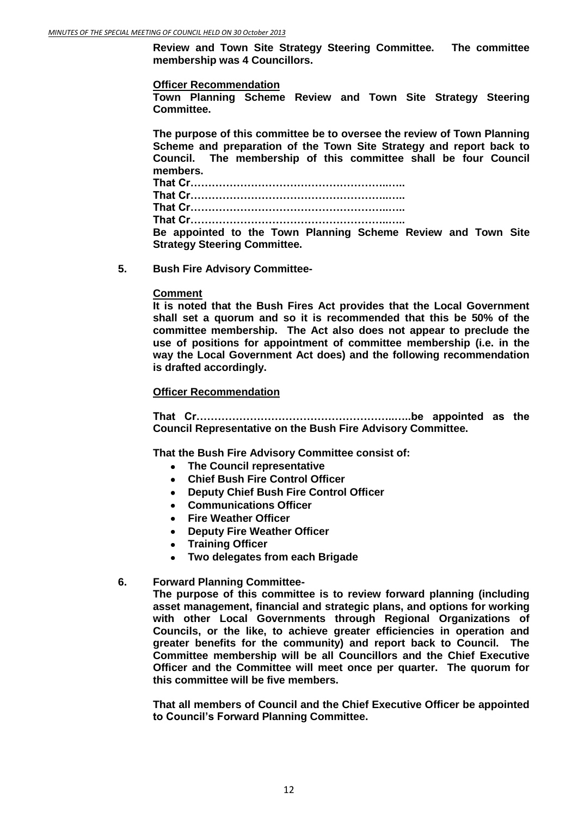**Review and Town Site Strategy Steering Committee. The committee membership was 4 Councillors.** 

#### **Officer Recommendation**

**Town Planning Scheme Review and Town Site Strategy Steering Committee.**

**The purpose of this committee be to oversee the review of Town Planning Scheme and preparation of the Town Site Strategy and report back to Council. The membership of this committee shall be four Council members.**

**That Cr………………………………………………..….. That Cr………………………………………………..….. That Cr………………………………………………..….. That Cr………………………………………………..….. Be appointed to the Town Planning Scheme Review and Town Site Strategy Steering Committee.**

**5. Bush Fire Advisory Committee-**

#### **Comment**

**It is noted that the Bush Fires Act provides that the Local Government shall set a quorum and so it is recommended that this be 50% of the committee membership. The Act also does not appear to preclude the use of positions for appointment of committee membership (i.e. in the way the Local Government Act does) and the following recommendation is drafted accordingly.** 

#### **Officer Recommendation**

**That Cr………………………………………………..…..be appointed as the Council Representative on the Bush Fire Advisory Committee.** 

**That the Bush Fire Advisory Committee consist of:**

- **The Council representative**
- **Chief Bush Fire Control Officer**
- **Deputy Chief Bush Fire Control Officer**  $\bullet$
- **Communications Officer**
- **Fire Weather Officer**
- **Deputy Fire Weather Officer**
- **Training Officer**
- **Two delegates from each Brigade**

#### **6. Forward Planning Committee-**

**The purpose of this committee is to review forward planning (including asset management, financial and strategic plans, and options for working with other Local Governments through Regional Organizations of Councils, or the like, to achieve greater efficiencies in operation and greater benefits for the community) and report back to Council. The Committee membership will be all Councillors and the Chief Executive Officer and the Committee will meet once per quarter. The quorum for this committee will be five members.**

**That all members of Council and the Chief Executive Officer be appointed to Council's Forward Planning Committee.**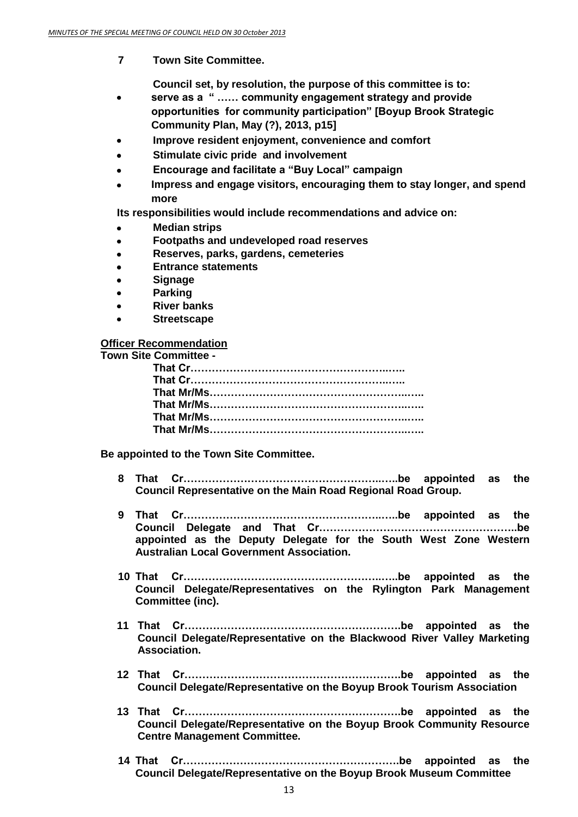**7 Town Site Committee.**

**Council set, by resolution, the purpose of this committee is to:**

- **serve as a " …… community engagement strategy and provide**   $\bullet$ **opportunities for community participation" [Boyup Brook Strategic Community Plan, May (?), 2013, p15]**
- **Improve resident enjoyment, convenience and comfort**  $\bullet$
- **Stimulate civic pride and involvement**
- **Encourage and facilitate a "Buy Local" campaign**  $\bullet$
- **Impress and engage visitors, encouraging them to stay longer, and spend more**

**Its responsibilities would include recommendations and advice on:**

- **Median strips**
- **Footpaths and undeveloped road reserves**  $\bullet$
- **Reserves, parks, gardens, cemeteries**  $\bullet$
- **Entrance statements**
- **Signage**
- **Parking**
- **River banks**
- **Streetscape**

#### **Officer Recommendation**

**Town Site Committee -**

**Be appointed to the Town Site Committee.**

- **8 That Cr………………………………………………..…..be appointed as the Council Representative on the Main Road Regional Road Group.**
- **9 That Cr………………………………………………..…..be appointed as the Council Delegate and That Cr………………………………………………..be appointed as the Deputy Delegate for the South West Zone Western Australian Local Government Association.**
- **10 That Cr………………………………………………..…..be appointed as the Council Delegate/Representatives on the Rylington Park Management Committee (inc).**
- **11 That Cr…………………………………………………….be appointed as the Council Delegate/Representative on the Blackwood River Valley Marketing Association.**
- **12 That Cr…………………………………………………….be appointed as the Council Delegate/Representative on the Boyup Brook Tourism Association**
- **13 That Cr…………………………………………………….be appointed as the Council Delegate/Representative on the Boyup Brook Community Resource Centre Management Committee.**
- **14 That Cr…………………………………………………….be appointed as the Council Delegate/Representative on the Boyup Brook Museum Committee**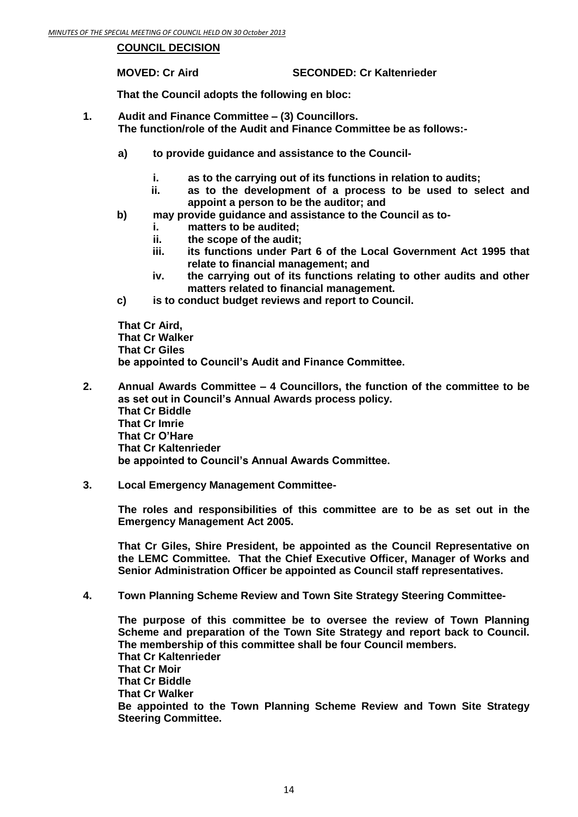#### **COUNCIL DECISION**

**MOVED: Cr Aird SECONDED: Cr Kaltenrieder** 

**That the Council adopts the following en bloc:**

- **1. Audit and Finance Committee – (3) Councillors. The function/role of the Audit and Finance Committee be as follows:**
	- **a) to provide guidance and assistance to the Council**
		- **i. as to the carrying out of its functions in relation to audits;**
		- **ii. as to the development of a process to be used to select and appoint a person to be the auditor; and**
	- **b) may provide guidance and assistance to the Council as to**
		- **i. matters to be audited;**
		- **ii. the scope of the audit;**
		- **iii. its functions under Part 6 of the Local Government Act 1995 that relate to financial management; and**
		- **iv. the carrying out of its functions relating to other audits and other matters related to financial management.**
	- **c) is to conduct budget reviews and report to Council.**

**That Cr Aird, That Cr Walker That Cr Giles be appointed to Council's Audit and Finance Committee.**

- **2. Annual Awards Committee – 4 Councillors, the function of the committee to be as set out in Council's Annual Awards process policy. That Cr Biddle That Cr Imrie That Cr O'Hare That Cr Kaltenrieder be appointed to Council's Annual Awards Committee.**
- **3. Local Emergency Management Committee-**

**The roles and responsibilities of this committee are to be as set out in the Emergency Management Act 2005.**

**That Cr Giles, Shire President, be appointed as the Council Representative on the LEMC Committee. That the Chief Executive Officer, Manager of Works and Senior Administration Officer be appointed as Council staff representatives.** 

**4. Town Planning Scheme Review and Town Site Strategy Steering Committee-**

**The purpose of this committee be to oversee the review of Town Planning Scheme and preparation of the Town Site Strategy and report back to Council. The membership of this committee shall be four Council members. That Cr Kaltenrieder That Cr Moir That Cr Biddle That Cr Walker Be appointed to the Town Planning Scheme Review and Town Site Strategy Steering Committee.**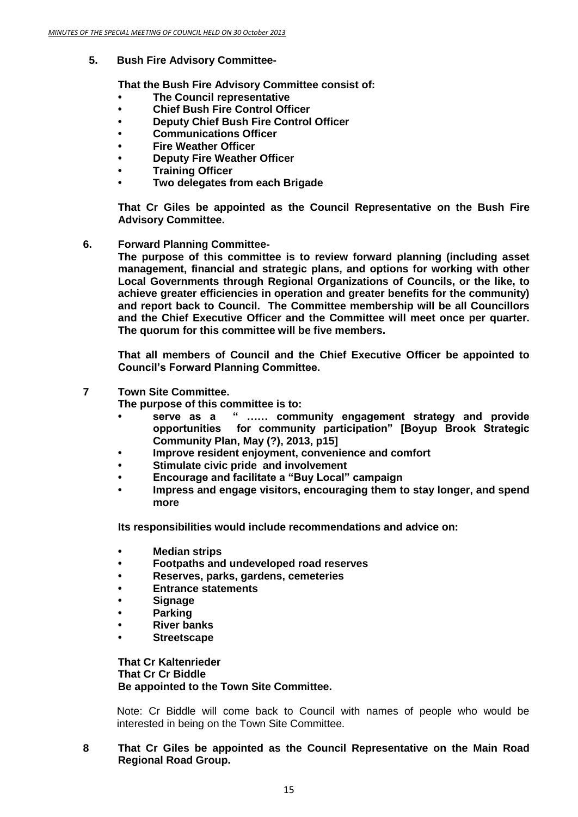**5. Bush Fire Advisory Committee-**

**That the Bush Fire Advisory Committee consist of:**

- **• The Council representative**
- **• Chief Bush Fire Control Officer**
- **• Deputy Chief Bush Fire Control Officer**
- **• Communications Officer**
- **• Fire Weather Officer**
- **• Deputy Fire Weather Officer**
- **• Training Officer**
- **• Two delegates from each Brigade**

**That Cr Giles be appointed as the Council Representative on the Bush Fire Advisory Committee.** 

**6. Forward Planning Committee-**

**The purpose of this committee is to review forward planning (including asset management, financial and strategic plans, and options for working with other Local Governments through Regional Organizations of Councils, or the like, to achieve greater efficiencies in operation and greater benefits for the community) and report back to Council. The Committee membership will be all Councillors and the Chief Executive Officer and the Committee will meet once per quarter. The quorum for this committee will be five members.**

**That all members of Council and the Chief Executive Officer be appointed to Council's Forward Planning Committee.**

**7 Town Site Committee.**

**The purpose of this committee is to:**

- **• serve as a " …… community engagement strategy and provide opportunities for community participation" [Boyup Brook Strategic Community Plan, May (?), 2013, p15]**
- **• Improve resident enjoyment, convenience and comfort**
- **• Stimulate civic pride and involvement**
- **• Encourage and facilitate a "Buy Local" campaign**
- **• Impress and engage visitors, encouraging them to stay longer, and spend more**

**Its responsibilities would include recommendations and advice on:**

- **• Median strips**
- **• Footpaths and undeveloped road reserves**
- **• Reserves, parks, gardens, cemeteries**
- **• Entrance statements**
- **• Signage**
- **• Parking**
- **• River banks**
- **• Streetscape**

**That Cr Kaltenrieder That Cr Cr Biddle Be appointed to the Town Site Committee.**

Note: Cr Biddle will come back to Council with names of people who would be interested in being on the Town Site Committee.

**8 That Cr Giles be appointed as the Council Representative on the Main Road Regional Road Group.**